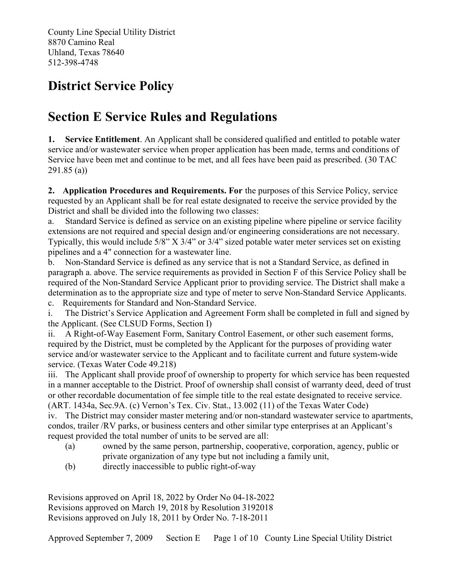County Line Special Utility District 8870 Camino Real Uhland, Texas 78640 512-398-4748

# District Service Policy

# Section E Service Rules and Regulations

1. Service Entitlement. An Applicant shall be considered qualified and entitled to potable water service and/or wastewater service when proper application has been made, terms and conditions of Service have been met and continue to be met, and all fees have been paid as prescribed. (30 TAC 291.85 (a))

2. Application Procedures and Requirements. For the purposes of this Service Policy, service requested by an Applicant shall be for real estate designated to receive the service provided by the District and shall be divided into the following two classes:

a. Standard Service is defined as service on an existing pipeline where pipeline or service facility extensions are not required and special design and/or engineering considerations are not necessary. Typically, this would include 5/8" X 3/4" or 3/4" sized potable water meter services set on existing pipelines and a 4" connection for a wastewater line.

b. Non-Standard Service is defined as any service that is not a Standard Service, as defined in paragraph a. above. The service requirements as provided in Section F of this Service Policy shall be required of the Non-Standard Service Applicant prior to providing service. The District shall make a determination as to the appropriate size and type of meter to serve Non-Standard Service Applicants. c. Requirements for Standard and Non-Standard Service.

i. The District's Service Application and Agreement Form shall be completed in full and signed by the Applicant. (See CLSUD Forms, Section I)

ii. A Right-of-Way Easement Form, Sanitary Control Easement, or other such easement forms, required by the District, must be completed by the Applicant for the purposes of providing water service and/or wastewater service to the Applicant and to facilitate current and future system-wide service. (Texas Water Code 49.218)

iii. The Applicant shall provide proof of ownership to property for which service has been requested in a manner acceptable to the District. Proof of ownership shall consist of warranty deed, deed of trust or other recordable documentation of fee simple title to the real estate designated to receive service. (ART. 1434a, Sec.9A. (c) Vernon's Tex. Civ. Stat., 13.002 (11) of the Texas Water Code)

iv. The District may consider master metering and/or non-standard wastewater service to apartments, condos, trailer /RV parks, or business centers and other similar type enterprises at an Applicant's request provided the total number of units to be served are all:

- (a) owned by the same person, partnership, cooperative, corporation, agency, public or private organization of any type but not including a family unit,
- (b) directly inaccessible to public right-of-way

Revisions approved on April 18, 2022 by Order No 04-18-2022 Revisions approved on March 19, 2018 by Resolution 3192018 Revisions approved on July 18, 2011 by Order No. 7-18-2011

Approved September 7, 2009 Section E Page 1 of 10 County Line Special Utility District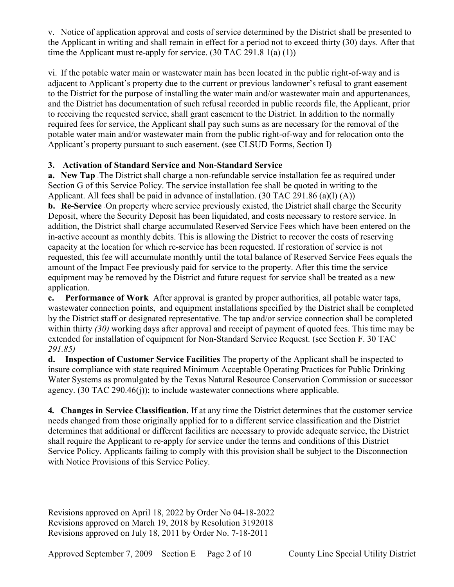v. Notice of application approval and costs of service determined by the District shall be presented to the Applicant in writing and shall remain in effect for a period not to exceed thirty (30) days. After that time the Applicant must re-apply for service. (30 TAC 291.8 1(a) (1))

vi. If the potable water main or wastewater main has been located in the public right-of-way and is adjacent to Applicant's property due to the current or previous landowner's refusal to grant easement to the District for the purpose of installing the water main and/or wastewater main and appurtenances, and the District has documentation of such refusal recorded in public records file, the Applicant, prior to receiving the requested service, shall grant easement to the District. In addition to the normally required fees for service, the Applicant shall pay such sums as are necessary for the removal of the potable water main and/or wastewater main from the public right-of-way and for relocation onto the Applicant's property pursuant to such easement. (see CLSUD Forms, Section I)

#### 3. Activation of Standard Service and Non-Standard Service

a. New Tap The District shall charge a non-refundable service installation fee as required under Section G of this Service Policy. The service installation fee shall be quoted in writing to the Applicant. All fees shall be paid in advance of installation.  $(30 \text{ TAC } 291.86 \text{ (a)}(1) \text{ (A)})$ 

**b.** Re-Service On property where service previously existed, the District shall charge the Security Deposit, where the Security Deposit has been liquidated, and costs necessary to restore service. In addition, the District shall charge accumulated Reserved Service Fees which have been entered on the in-active account as monthly debits. This is allowing the District to recover the costs of reserving capacity at the location for which re-service has been requested. If restoration of service is not requested, this fee will accumulate monthly until the total balance of Reserved Service Fees equals the amount of the Impact Fee previously paid for service to the property. After this time the service equipment may be removed by the District and future request for service shall be treated as a new application.

c. Performance of Work After approval is granted by proper authorities, all potable water taps, wastewater connection points, and equipment installations specified by the District shall be completed by the District staff or designated representative. The tap and/or service connection shall be completed within thirty (30) working days after approval and receipt of payment of quoted fees. This time may be extended for installation of equipment for Non-Standard Service Request. (see Section F. 30 TAC 291.85)

d. Inspection of Customer Service Facilities The property of the Applicant shall be inspected to insure compliance with state required Minimum Acceptable Operating Practices for Public Drinking Water Systems as promulgated by the Texas Natural Resource Conservation Commission or successor agency. (30 TAC 290.46(j)); to include wastewater connections where applicable.

4. Changes in Service Classification. If at any time the District determines that the customer service needs changed from those originally applied for to a different service classification and the District determines that additional or different facilities are necessary to provide adequate service, the District shall require the Applicant to re-apply for service under the terms and conditions of this District Service Policy. Applicants failing to comply with this provision shall be subject to the Disconnection with Notice Provisions of this Service Policy.

Revisions approved on April 18, 2022 by Order No 04-18-2022 Revisions approved on March 19, 2018 by Resolution 3192018 Revisions approved on July 18, 2011 by Order No. 7-18-2011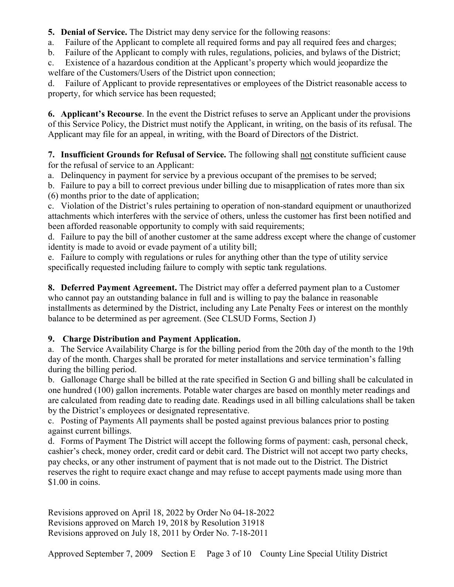5. Denial of Service. The District may deny service for the following reasons:

a. Failure of the Applicant to complete all required forms and pay all required fees and charges;

b. Failure of the Applicant to comply with rules, regulations, policies, and bylaws of the District;

c. Existence of a hazardous condition at the Applicant's property which would jeopardize the welfare of the Customers/Users of the District upon connection;

d. Failure of Applicant to provide representatives or employees of the District reasonable access to property, for which service has been requested;

6. Applicant's Recourse. In the event the District refuses to serve an Applicant under the provisions of this Service Policy, the District must notify the Applicant, in writing, on the basis of its refusal. The Applicant may file for an appeal, in writing, with the Board of Directors of the District.

7. Insufficient Grounds for Refusal of Service. The following shall not constitute sufficient cause for the refusal of service to an Applicant:

a. Delinquency in payment for service by a previous occupant of the premises to be served;

b. Failure to pay a bill to correct previous under billing due to misapplication of rates more than six (6) months prior to the date of application;

c. Violation of the District's rules pertaining to operation of non-standard equipment or unauthorized attachments which interferes with the service of others, unless the customer has first been notified and been afforded reasonable opportunity to comply with said requirements;

d. Failure to pay the bill of another customer at the same address except where the change of customer identity is made to avoid or evade payment of a utility bill;

e. Failure to comply with regulations or rules for anything other than the type of utility service specifically requested including failure to comply with septic tank regulations.

8. Deferred Payment Agreement. The District may offer a deferred payment plan to a Customer who cannot pay an outstanding balance in full and is willing to pay the balance in reasonable installments as determined by the District, including any Late Penalty Fees or interest on the monthly balance to be determined as per agreement. (See CLSUD Forms, Section J)

## 9. Charge Distribution and Payment Application.

a. The Service Availability Charge is for the billing period from the 20th day of the month to the 19th day of the month. Charges shall be prorated for meter installations and service termination's falling during the billing period.

b. Gallonage Charge shall be billed at the rate specified in Section G and billing shall be calculated in one hundred (100) gallon increments. Potable water charges are based on monthly meter readings and are calculated from reading date to reading date. Readings used in all billing calculations shall be taken by the District's employees or designated representative.

c. Posting of Payments All payments shall be posted against previous balances prior to posting against current billings.

d. Forms of Payment The District will accept the following forms of payment: cash, personal check, cashier's check, money order, credit card or debit card. The District will not accept two party checks, pay checks, or any other instrument of payment that is not made out to the District. The District reserves the right to require exact change and may refuse to accept payments made using more than \$1.00 in coins.

Revisions approved on April 18, 2022 by Order No 04-18-2022 Revisions approved on March 19, 2018 by Resolution 31918 Revisions approved on July 18, 2011 by Order No. 7-18-2011

Approved September 7, 2009 Section E Page 3 of 10 County Line Special Utility District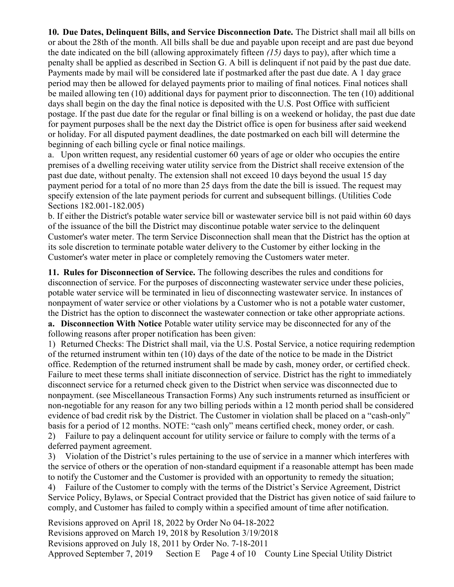10. Due Dates, Delinquent Bills, and Service Disconnection Date. The District shall mail all bills on or about the 28th of the month. All bills shall be due and payable upon receipt and are past due beyond the date indicated on the bill (allowing approximately fifteen  $(15)$  days to pay), after which time a penalty shall be applied as described in Section G. A bill is delinquent if not paid by the past due date. Payments made by mail will be considered late if postmarked after the past due date. A 1 day grace period may then be allowed for delayed payments prior to mailing of final notices. Final notices shall be mailed allowing ten (10) additional days for payment prior to disconnection. The ten (10) additional days shall begin on the day the final notice is deposited with the U.S. Post Office with sufficient postage. If the past due date for the regular or final billing is on a weekend or holiday, the past due date for payment purposes shall be the next day the District office is open for business after said weekend or holiday. For all disputed payment deadlines, the date postmarked on each bill will determine the beginning of each billing cycle or final notice mailings.

a. Upon written request, any residential customer 60 years of age or older who occupies the entire premises of a dwelling receiving water utility service from the District shall receive extension of the past due date, without penalty. The extension shall not exceed 10 days beyond the usual 15 day payment period for a total of no more than 25 days from the date the bill is issued. The request may specify extension of the late payment periods for current and subsequent billings. (Utilities Code Sections 182.001-182.005)

b. If either the District's potable water service bill or wastewater service bill is not paid within 60 days of the issuance of the bill the District may discontinue potable water service to the delinquent Customer's water meter. The term Service Disconnection shall mean that the District has the option at its sole discretion to terminate potable water delivery to the Customer by either locking in the Customer's water meter in place or completely removing the Customers water meter.

11. Rules for Disconnection of Service. The following describes the rules and conditions for disconnection of service. For the purposes of disconnecting wastewater service under these policies, potable water service will be terminated in lieu of disconnecting wastewater service. In instances of nonpayment of water service or other violations by a Customer who is not a potable water customer, the District has the option to disconnect the wastewater connection or take other appropriate actions.

a. Disconnection With Notice Potable water utility service may be disconnected for any of the following reasons after proper notification has been given:

1) Returned Checks: The District shall mail, via the U.S. Postal Service, a notice requiring redemption of the returned instrument within ten (10) days of the date of the notice to be made in the District office. Redemption of the returned instrument shall be made by cash, money order, or certified check. Failure to meet these terms shall initiate disconnection of service. District has the right to immediately disconnect service for a returned check given to the District when service was disconnected due to nonpayment. (see Miscellaneous Transaction Forms) Any such instruments returned as insufficient or non-negotiable for any reason for any two billing periods within a 12 month period shall be considered evidence of bad credit risk by the District. The Customer in violation shall be placed on a "cash-only" basis for a period of 12 months. NOTE: "cash only" means certified check, money order, or cash. 2) Failure to pay a delinquent account for utility service or failure to comply with the terms of a deferred payment agreement.

3) Violation of the District's rules pertaining to the use of service in a manner which interferes with the service of others or the operation of non-standard equipment if a reasonable attempt has been made to notify the Customer and the Customer is provided with an opportunity to remedy the situation; 4) Failure of the Customer to comply with the terms of the District's Service Agreement, District Service Policy, Bylaws, or Special Contract provided that the District has given notice of said failure to comply, and Customer has failed to comply within a specified amount of time after notification.

Revisions approved on April 18, 2022 by Order No 04-18-2022 Revisions approved on March 19, 2018 by Resolution 3/19/2018 Revisions approved on July 18, 2011 by Order No. 7-18-2011 Approved September 7, 2019 Section E Page 4 of 10 County Line Special Utility District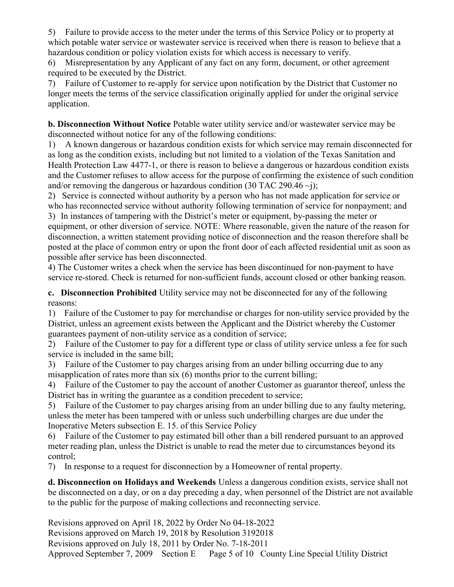5) Failure to provide access to the meter under the terms of this Service Policy or to property at which potable water service or wastewater service is received when there is reason to believe that a hazardous condition or policy violation exists for which access is necessary to verify.

6) Misrepresentation by any Applicant of any fact on any form, document, or other agreement required to be executed by the District.

7) Failure of Customer to re-apply for service upon notification by the District that Customer no longer meets the terms of the service classification originally applied for under the original service application.

b. Disconnection Without Notice Potable water utility service and/or wastewater service may be disconnected without notice for any of the following conditions:

1) A known dangerous or hazardous condition exists for which service may remain disconnected for as long as the condition exists, including but not limited to a violation of the Texas Sanitation and Health Protection Law 4477-1, or there is reason to believe a dangerous or hazardous condition exists and the Customer refuses to allow access for the purpose of confirming the existence of such condition and/or removing the dangerous or hazardous condition (30 TAC 290.46  $\sim$ j);

2) Service is connected without authority by a person who has not made application for service or who has reconnected service without authority following termination of service for nonpayment; and 3) In instances of tampering with the District's meter or equipment, by-passing the meter or equipment, or other diversion of service. NOTE: Where reasonable, given the nature of the reason for disconnection, a written statement providing notice of disconnection and the reason therefore shall be posted at the place of common entry or upon the front door of each affected residential unit as soon as possible after service has been disconnected.

4) The Customer writes a check when the service has been discontinued for non-payment to have service re-stored. Check is returned for non-sufficient funds, account closed or other banking reason.

c. Disconnection Prohibited Utility service may not be disconnected for any of the following reasons:

1) Failure of the Customer to pay for merchandise or charges for non-utility service provided by the District, unless an agreement exists between the Applicant and the District whereby the Customer guarantees payment of non-utility service as a condition of service;

2) Failure of the Customer to pay for a different type or class of utility service unless a fee for such service is included in the same bill;

3) Failure of the Customer to pay charges arising from an under billing occurring due to any misapplication of rates more than six (6) months prior to the current billing;

4) Failure of the Customer to pay the account of another Customer as guarantor thereof, unless the District has in writing the guarantee as a condition precedent to service;

5) Failure of the Customer to pay charges arising from an under billing due to any faulty metering, unless the meter has been tampered with or unless such underbilling charges are due under the Inoperative Meters subsection E. 15. of this Service Policy

6) Failure of the Customer to pay estimated bill other than a bill rendered pursuant to an approved meter reading plan, unless the District is unable to read the meter due to circumstances beyond its control;

7) In response to a request for disconnection by a Homeowner of rental property.

d. Disconnection on Holidays and Weekends Unless a dangerous condition exists, service shall not be disconnected on a day, or on a day preceding a day, when personnel of the District are not available to the public for the purpose of making collections and reconnecting service.

Revisions approved on April 18, 2022 by Order No 04-18-2022 Revisions approved on March 19, 2018 by Resolution 3192018 Revisions approved on July 18, 2011 by Order No. 7-18-2011 Approved September 7, 2009 Section E Page 5 of 10 County Line Special Utility District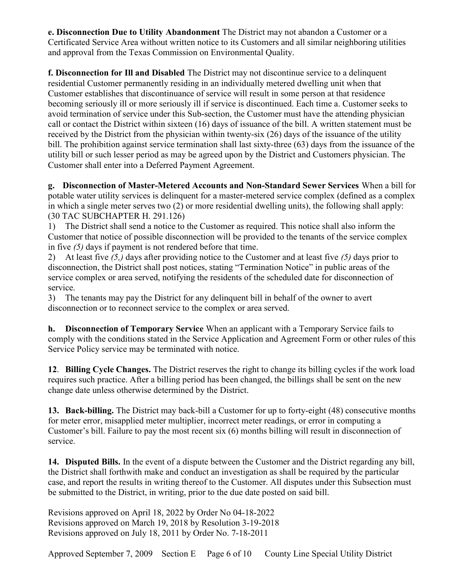e. Disconnection Due to Utility Abandonment The District may not abandon a Customer or a Certificated Service Area without written notice to its Customers and all similar neighboring utilities and approval from the Texas Commission on Environmental Quality.

f. Disconnection for Ill and Disabled The District may not discontinue service to a delinquent residential Customer permanently residing in an individually metered dwelling unit when that Customer establishes that discontinuance of service will result in some person at that residence becoming seriously ill or more seriously ill if service is discontinued. Each time a. Customer seeks to avoid termination of service under this Sub-section, the Customer must have the attending physician call or contact the District within sixteen (16) days of issuance of the bill. A written statement must be received by the District from the physician within twenty-six (26) days of the issuance of the utility bill. The prohibition against service termination shall last sixty-three (63) days from the issuance of the utility bill or such lesser period as may be agreed upon by the District and Customers physician. The Customer shall enter into a Deferred Payment Agreement.

g. Disconnection of Master-Metered Accounts and Non-Standard Sewer Services When a bill for potable water utility services is delinquent for a master-metered service complex (defined as a complex in which a single meter serves two (2) or more residential dwelling units), the following shall apply: (30 TAC SUBCHAPTER H. 291.126)

1) The District shall send a notice to the Customer as required. This notice shall also inform the Customer that notice of possible disconnection will be provided to the tenants of the service complex in five (5) days if payment is not rendered before that time.

2) At least five  $(5)$ , days after providing notice to the Customer and at least five  $(5)$  days prior to disconnection, the District shall post notices, stating "Termination Notice" in public areas of the service complex or area served, notifying the residents of the scheduled date for disconnection of service.

3) The tenants may pay the District for any delinquent bill in behalf of the owner to avert disconnection or to reconnect service to the complex or area served.

h. Disconnection of Temporary Service When an applicant with a Temporary Service fails to comply with the conditions stated in the Service Application and Agreement Form or other rules of this Service Policy service may be terminated with notice.

12. Billing Cycle Changes. The District reserves the right to change its billing cycles if the work load requires such practice. After a billing period has been changed, the billings shall be sent on the new change date unless otherwise determined by the District.

13. Back-billing. The District may back-bill a Customer for up to forty-eight (48) consecutive months for meter error, misapplied meter multiplier, incorrect meter readings, or error in computing a Customer's bill. Failure to pay the most recent six (6) months billing will result in disconnection of service.

14. Disputed Bills. In the event of a dispute between the Customer and the District regarding any bill, the District shall forthwith make and conduct an investigation as shall be required by the particular case, and report the results in writing thereof to the Customer. All disputes under this Subsection must be submitted to the District, in writing, prior to the due date posted on said bill.

Revisions approved on April 18, 2022 by Order No 04-18-2022 Revisions approved on March 19, 2018 by Resolution 3-19-2018 Revisions approved on July 18, 2011 by Order No. 7-18-2011

Approved September 7, 2009 Section E Page 6 of 10 County Line Special Utility District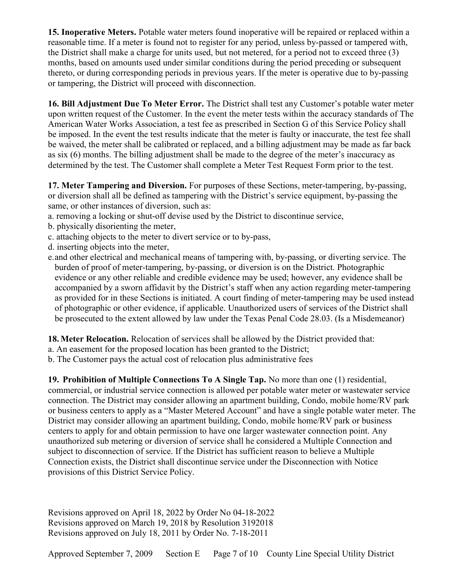15. Inoperative Meters. Potable water meters found inoperative will be repaired or replaced within a reasonable time. If a meter is found not to register for any period, unless by-passed or tampered with, the District shall make a charge for units used, but not metered, for a period not to exceed three (3) months, based on amounts used under similar conditions during the period preceding or subsequent thereto, or during corresponding periods in previous years. If the meter is operative due to by-passing or tampering, the District will proceed with disconnection.

16. Bill Adjustment Due To Meter Error. The District shall test any Customer's potable water meter upon written request of the Customer. In the event the meter tests within the accuracy standards of The American Water Works Association, a test fee as prescribed in Section G of this Service Policy shall be imposed. In the event the test results indicate that the meter is faulty or inaccurate, the test fee shall be waived, the meter shall be calibrated or replaced, and a billing adjustment may be made as far back as six (6) months. The billing adjustment shall be made to the degree of the meter's inaccuracy as determined by the test. The Customer shall complete a Meter Test Request Form prior to the test.

17. Meter Tampering and Diversion. For purposes of these Sections, meter-tampering, by-passing, or diversion shall all be defined as tampering with the District's service equipment, by-passing the same, or other instances of diversion, such as:

a. removing a locking or shut-off devise used by the District to discontinue service,

- b. physically disorienting the meter,
- c. attaching objects to the meter to divert service or to by-pass,
- d. inserting objects into the meter,

e. and other electrical and mechanical means of tampering with, by-passing, or diverting service. The burden of proof of meter-tampering, by-passing, or diversion is on the District. Photographic evidence or any other reliable and credible evidence may be used; however, any evidence shall be accompanied by a sworn affidavit by the District's staff when any action regarding meter-tampering as provided for in these Sections is initiated. A court finding of meter-tampering may be used instead of photographic or other evidence, if applicable. Unauthorized users of services of the District shall be prosecuted to the extent allowed by law under the Texas Penal Code 28.03. (Is a Misdemeanor)

18. Meter Relocation. Relocation of services shall be allowed by the District provided that:

a. An easement for the proposed location has been granted to the District;

b. The Customer pays the actual cost of relocation plus administrative fees

19. Prohibition of Multiple Connections To A Single Tap. No more than one (1) residential, commercial, or industrial service connection is allowed per potable water meter or wastewater service connection. The District may consider allowing an apartment building, Condo, mobile home/RV park or business centers to apply as a "Master Metered Account" and have a single potable water meter. The District may consider allowing an apartment building, Condo, mobile home/RV park or business centers to apply for and obtain permission to have one larger wastewater connection point. Any unauthorized sub metering or diversion of service shall he considered a Multiple Connection and subject to disconnection of service. If the District has sufficient reason to believe a Multiple Connection exists, the District shall discontinue service under the Disconnection with Notice provisions of this District Service Policy.

Revisions approved on April 18, 2022 by Order No 04-18-2022 Revisions approved on March 19, 2018 by Resolution 3192018 Revisions approved on July 18, 2011 by Order No. 7-18-2011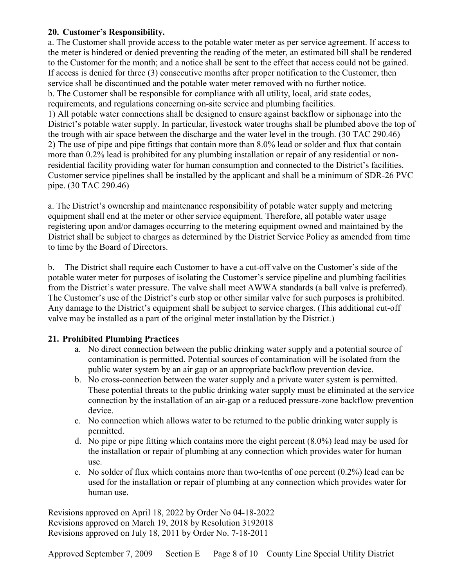#### 20. Customer's Responsibility.

a. The Customer shall provide access to the potable water meter as per service agreement. If access to the meter is hindered or denied preventing the reading of the meter, an estimated bill shall be rendered to the Customer for the month; and a notice shall be sent to the effect that access could not be gained. If access is denied for three (3) consecutive months after proper notification to the Customer, then service shall be discontinued and the potable water meter removed with no further notice. b. The Customer shall be responsible for compliance with all utility, local, arid state codes, requirements, and regulations concerning on-site service and plumbing facilities. 1) All potable water connections shall be designed to ensure against backflow or siphonage into the District's potable water supply. In particular, livestock water troughs shall be plumbed above the top of the trough with air space between the discharge and the water level in the trough. (30 TAC 290.46) 2) The use of pipe and pipe fittings that contain more than 8.0% lead or solder and flux that contain

more than 0.2% lead is prohibited for any plumbing installation or repair of any residential or nonresidential facility providing water for human consumption and connected to the District's facilities. Customer service pipelines shall be installed by the applicant and shall be a minimum of SDR-26 PVC pipe. (30 TAC 290.46)

a. The District's ownership and maintenance responsibility of potable water supply and metering equipment shall end at the meter or other service equipment. Therefore, all potable water usage registering upon and/or damages occurring to the metering equipment owned and maintained by the District shall be subject to charges as determined by the District Service Policy as amended from time to time by the Board of Directors.

b. The District shall require each Customer to have a cut-off valve on the Customer's side of the potable water meter for purposes of isolating the Customer's service pipeline and plumbing facilities from the District's water pressure. The valve shall meet AWWA standards (a ball valve is preferred). The Customer's use of the District's curb stop or other similar valve for such purposes is prohibited. Any damage to the District's equipment shall be subject to service charges. (This additional cut-off valve may be installed as a part of the original meter installation by the District.)

### 21. Prohibited Plumbing Practices

- a. No direct connection between the public drinking water supply and a potential source of contamination is permitted. Potential sources of contamination will be isolated from the public water system by an air gap or an appropriate backflow prevention device.
- b. No cross-connection between the water supply and a private water system is permitted. These potential threats to the public drinking water supply must be eliminated at the service connection by the installation of an air-gap or a reduced pressure-zone backflow prevention device.
- c. No connection which allows water to be returned to the public drinking water supply is permitted.
- d. No pipe or pipe fitting which contains more the eight percent (8.0%) lead may be used for the installation or repair of plumbing at any connection which provides water for human use.
- e. No solder of flux which contains more than two-tenths of one percent (0.2%) lead can be used for the installation or repair of plumbing at any connection which provides water for human use.

Revisions approved on April 18, 2022 by Order No 04-18-2022 Revisions approved on March 19, 2018 by Resolution 3192018 Revisions approved on July 18, 2011 by Order No. 7-18-2011

Approved September 7, 2009 Section E Page 8 of 10 County Line Special Utility District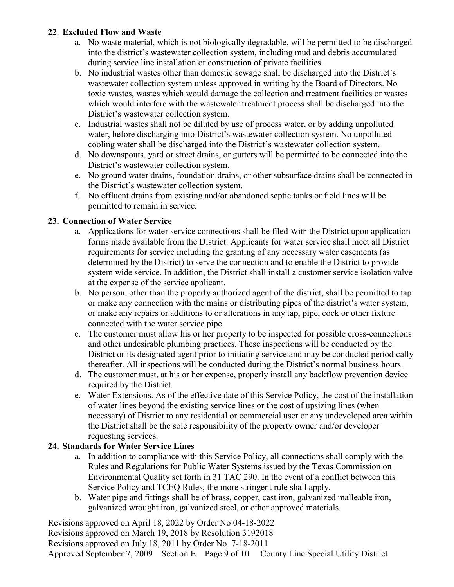#### 22. Excluded Flow and Waste

- a. No waste material, which is not biologically degradable, will be permitted to be discharged into the district's wastewater collection system, including mud and debris accumulated during service line installation or construction of private facilities.
- b. No industrial wastes other than domestic sewage shall be discharged into the District's wastewater collection system unless approved in writing by the Board of Directors. No toxic wastes, wastes which would damage the collection and treatment facilities or wastes which would interfere with the wastewater treatment process shall be discharged into the District's wastewater collection system.
- c. Industrial wastes shall not be diluted by use of process water, or by adding unpolluted water, before discharging into District's wastewater collection system. No unpolluted cooling water shall be discharged into the District's wastewater collection system.
- d. No downspouts, yard or street drains, or gutters will be permitted to be connected into the District's wastewater collection system.
- e. No ground water drains, foundation drains, or other subsurface drains shall be connected in the District's wastewater collection system.
- f. No effluent drains from existing and/or abandoned septic tanks or field lines will be permitted to remain in service.

#### 23. Connection of Water Service

- a. Applications for water service connections shall be filed With the District upon application forms made available from the District. Applicants for water service shall meet all District requirements for service including the granting of any necessary water easements (as determined by the District) to serve the connection and to enable the District to provide system wide service. In addition, the District shall install a customer service isolation valve at the expense of the service applicant.
- b. No person, other than the properly authorized agent of the district, shall be permitted to tap or make any connection with the mains or distributing pipes of the district's water system, or make any repairs or additions to or alterations in any tap, pipe, cock or other fixture connected with the water service pipe.
- c. The customer must allow his or her property to be inspected for possible cross-connections and other undesirable plumbing practices. These inspections will be conducted by the District or its designated agent prior to initiating service and may be conducted periodically thereafter. All inspections will be conducted during the District's normal business hours.
- d. The customer must, at his or her expense, properly install any backflow prevention device required by the District.
- e. Water Extensions. As of the effective date of this Service Policy, the cost of the installation of water lines beyond the existing service lines or the cost of upsizing lines (when necessary) of District to any residential or commercial user or any undeveloped area within the District shall be the sole responsibility of the property owner and/or developer requesting services.

### 24. Standards for Water Service Lines

- a. In addition to compliance with this Service Policy, all connections shall comply with the Rules and Regulations for Public Water Systems issued by the Texas Commission on Environmental Quality set forth in 31 TAC 290. In the event of a conflict between this Service Policy and TCEQ Rules, the more stringent rule shall apply.
- b. Water pipe and fittings shall be of brass, copper, cast iron, galvanized malleable iron, galvanized wrought iron, galvanized steel, or other approved materials.

Revisions approved on April 18, 2022 by Order No 04-18-2022 Revisions approved on March 19, 2018 by Resolution 3192018 Revisions approved on July 18, 2011 by Order No. 7-18-2011 Approved September 7, 2009 Section E Page 9 of 10 County Line Special Utility District